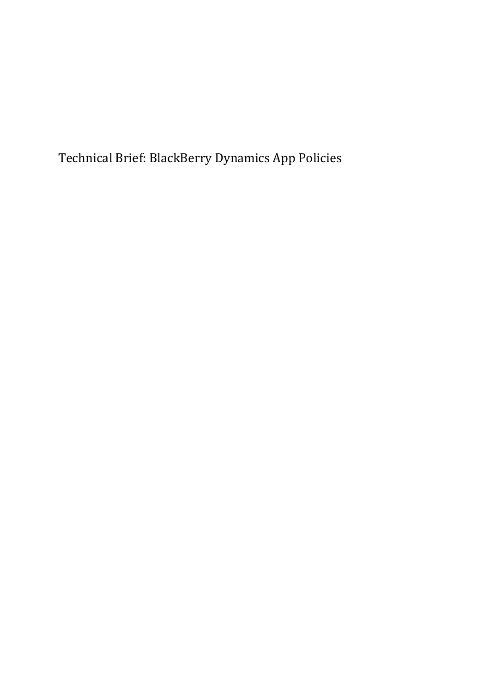Technical Brief: BlackBerry Dynamics App Policies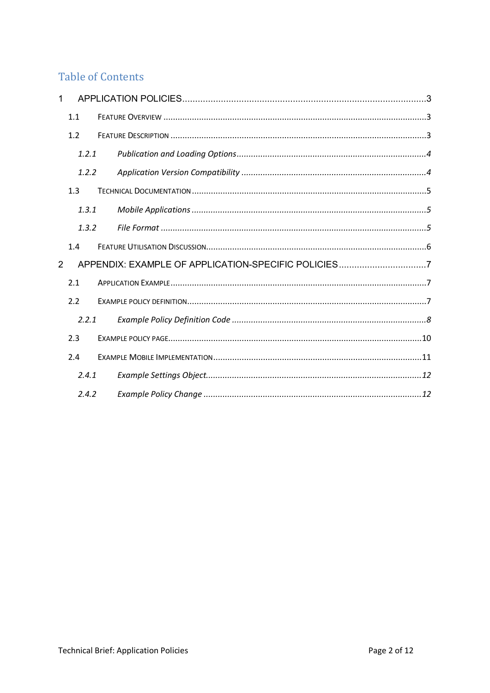## **Table of Contents**

| 1              |       |                                                     |
|----------------|-------|-----------------------------------------------------|
|                | 1.1   |                                                     |
|                | 1.2   |                                                     |
|                | 1.2.1 |                                                     |
|                | 1.2.2 |                                                     |
|                | 1.3   |                                                     |
|                | 1.3.1 |                                                     |
|                | 1.3.2 |                                                     |
|                | 1.4   |                                                     |
| $\overline{2}$ |       | APPENDIX: EXAMPLE OF APPLICATION-SPECIFIC POLICIES7 |
|                | 2.1   |                                                     |
|                | 2.2   |                                                     |
|                | 2.2.1 |                                                     |
|                | 2.3   |                                                     |
|                | 2.4   |                                                     |
|                | 2.4.1 |                                                     |
|                | 2.4.2 |                                                     |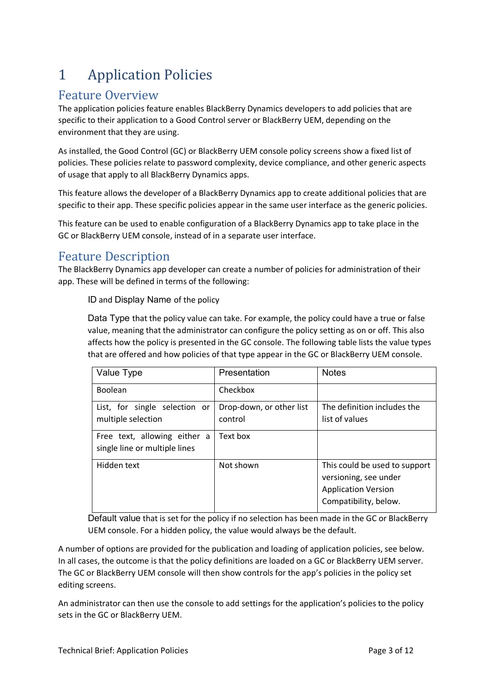# <span id="page-2-0"></span>1 Application Policies

# <span id="page-2-1"></span>Feature Overview

The application policies feature enables BlackBerry Dynamics developers to add policies that are specific to their application to a Good Control server or BlackBerry UEM, depending on the environment that they are using.

As installed, the Good Control (GC) or BlackBerry UEM console policy screens show a fixed list of policies. These policies relate to password complexity, device compliance, and other generic aspects of usage that apply to all BlackBerry Dynamics apps.

This feature allows the developer of a BlackBerry Dynamics app to create additional policies that are specific to their app. These specific policies appear in the same user interface as the generic policies.

This feature can be used to enable configuration of a BlackBerry Dynamics app to take place in the GC or BlackBerry UEM console, instead of in a separate user interface.

### <span id="page-2-2"></span>Feature Description

The BlackBerry Dynamics app developer can create a number of policies for administration of their app. These will be defined in terms of the following:

ID and Display Name of the policy

Data Type that the policy value can take. For example, the policy could have a true or false value, meaning that the administrator can configure the policy setting as on or off. This also affects how the policy is presented in the GC console. The following table lists the value types that are offered and how policies of that type appear in the GC or BlackBerry UEM console.

| Value Type                                                    | Presentation                        | <b>Notes</b>                                                                                                  |
|---------------------------------------------------------------|-------------------------------------|---------------------------------------------------------------------------------------------------------------|
| Boolean                                                       | Checkbox                            |                                                                                                               |
| List, for single selection or<br>multiple selection           | Drop-down, or other list<br>control | The definition includes the<br>list of values                                                                 |
| Free text, allowing either a<br>single line or multiple lines | Text box                            |                                                                                                               |
| Hidden text                                                   | Not shown                           | This could be used to support<br>versioning, see under<br><b>Application Version</b><br>Compatibility, below. |

Default value that is set for the policy if no selection has been made in the GC or BlackBerry UEM console. For a hidden policy, the value would always be the default.

A number of options are provided for the publication and loading of application policies, see below. In all cases, the outcome is that the policy definitions are loaded on a GC or BlackBerry UEM server. The GC or BlackBerry UEM console will then show controls for the app's policies in the policy set editing screens.

An administrator can then use the console to add settings for the application's policies to the policy sets in the GC or BlackBerry UEM.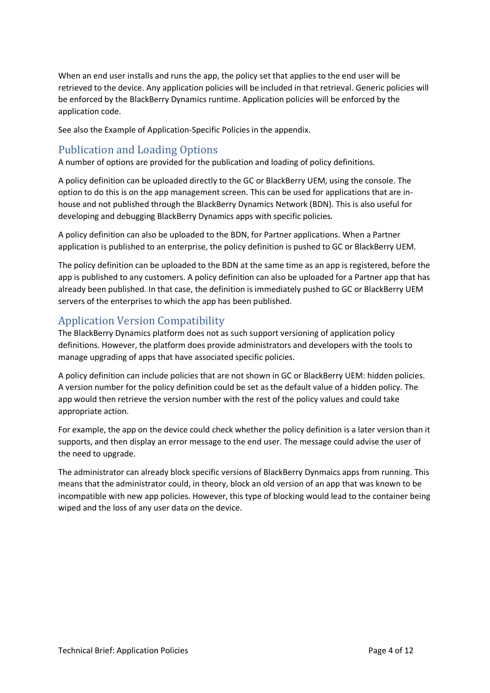When an end user installs and runs the app, the policy set that applies to the end user will be retrieved to the device. Any application policies will be included in that retrieval. Generic policies will be enforced by the BlackBerry Dynamics runtime. Application policies will be enforced by the application code.

See also the Example of Application-Specific Policies in the appendix.

#### <span id="page-3-0"></span>Publication and Loading Options

A number of options are provided for the publication and loading of policy definitions.

A policy definition can be uploaded directly to the GC or BlackBerry UEM, using the console. The option to do this is on the app management screen. This can be used for applications that are inhouse and not published through the BlackBerry Dynamics Network (BDN). This is also useful for developing and debugging BlackBerry Dynamics apps with specific policies.

A policy definition can also be uploaded to the BDN, for Partner applications. When a Partner application is published to an enterprise, the policy definition is pushed to GC or BlackBerry UEM.

The policy definition can be uploaded to the BDN at the same time as an app is registered, before the app is published to any customers. A policy definition can also be uploaded for a Partner app that has already been published. In that case, the definition is immediately pushed to GC or BlackBerry UEM servers of the enterprises to which the app has been published.

### <span id="page-3-1"></span>Application Version Compatibility

The BlackBerry Dynamics platform does not as such support versioning of application policy definitions. However, the platform does provide administrators and developers with the tools to manage upgrading of apps that have associated specific policies.

A policy definition can include policies that are not shown in GC or BlackBerry UEM: hidden policies. A version number for the policy definition could be set as the default value of a hidden policy. The app would then retrieve the version number with the rest of the policy values and could take appropriate action.

For example, the app on the device could check whether the policy definition is a later version than it supports, and then display an error message to the end user. The message could advise the user of the need to upgrade.

The administrator can already block specific versions of BlackBerry Dynmaics apps from running. This means that the administrator could, in theory, block an old version of an app that was known to be incompatible with new app policies. However, this type of blocking would lead to the container being wiped and the loss of any user data on the device.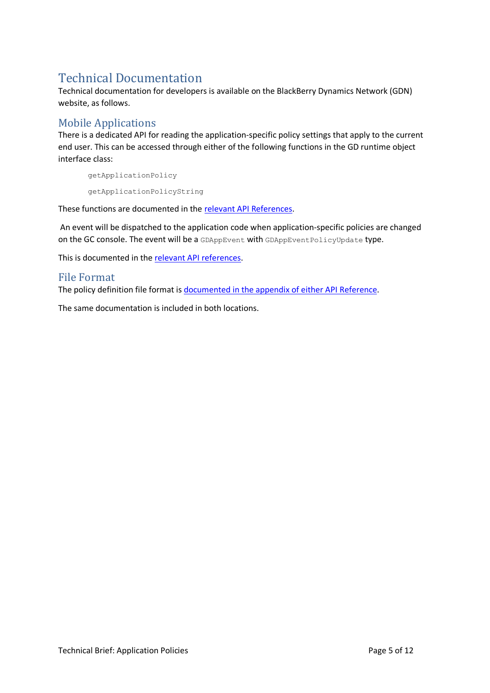# <span id="page-4-0"></span>Technical Documentation

Technical documentation for developers is available on the BlackBerry Dynamics Network (GDN) website, as follows.

### <span id="page-4-1"></span>Mobile Applications

There is a dedicated API for reading the application-specific policy settings that apply to the current end user. This can be accessed through either of the following functions in the GD runtime object interface class:

getApplicationPolicy getApplicationPolicyString

These functions are documented in the relevant [API References.](https://docs.blackberry.com/en/development-tools/blackberry-dynamics-sdk-android/5_0)

An event will be dispatched to the application code when application-specific policies are changed on the GC console. The event will be a GDAppEvent with GDAppEventPolicyUpdate type.

This is documented in the [relevant API references.](https://docs.blackberry.com/en/development-tools/blackberry-dynamics-sdk-android/5_0)

#### <span id="page-4-2"></span>File Format

The policy definition file format i[s documented in the appendix of either API Reference.](https://docs.blackberry.com/en/development-tools/blackberry-dynamics-sdk-android/5_0)

The same documentation is included in both locations.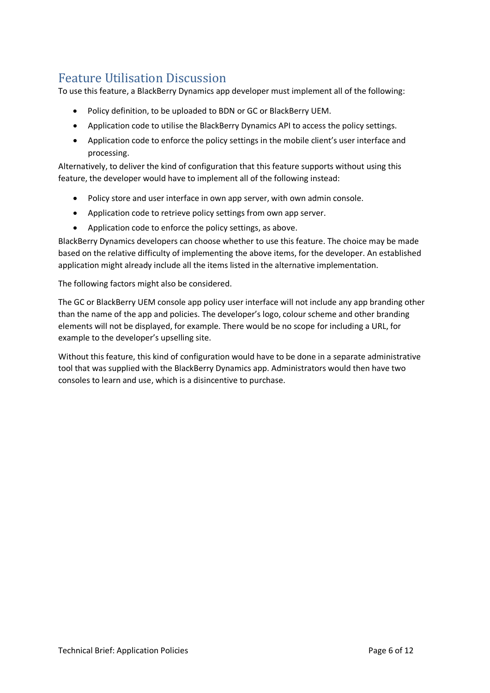# <span id="page-5-0"></span>Feature Utilisation Discussion

To use this feature, a BlackBerry Dynamics app developer must implement all of the following:

- Policy definition, to be uploaded to BDN or GC or BlackBerry UEM.
- Application code to utilise the BlackBerry Dynamics API to access the policy settings.
- Application code to enforce the policy settings in the mobile client's user interface and processing.

Alternatively, to deliver the kind of configuration that this feature supports without using this feature, the developer would have to implement all of the following instead:

- Policy store and user interface in own app server, with own admin console.
- Application code to retrieve policy settings from own app server.
- Application code to enforce the policy settings, as above.

BlackBerry Dynamics developers can choose whether to use this feature. The choice may be made based on the relative difficulty of implementing the above items, for the developer. An established application might already include all the items listed in the alternative implementation.

The following factors might also be considered.

The GC or BlackBerry UEM console app policy user interface will not include any app branding other than the name of the app and policies. The developer's logo, colour scheme and other branding elements will not be displayed, for example. There would be no scope for including a URL, for example to the developer's upselling site.

Without this feature, this kind of configuration would have to be done in a separate administrative tool that was supplied with the BlackBerry Dynamics app. Administrators would then have two consoles to learn and use, which is a disincentive to purchase.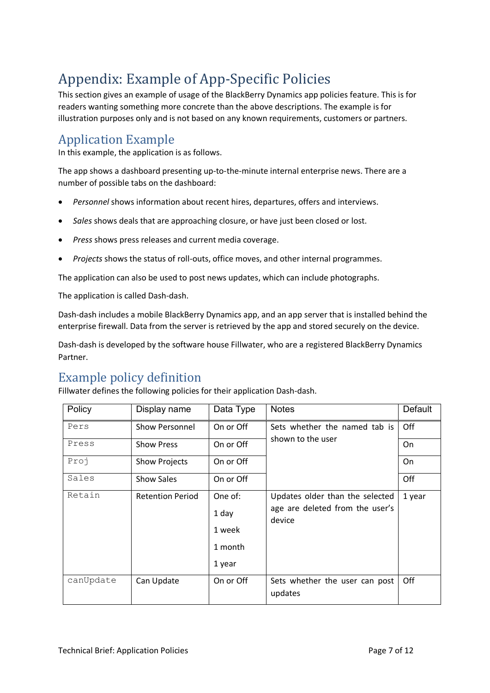# <span id="page-6-0"></span>Appendix: Example of App-Specific Policies

This section gives an example of usage of the BlackBerry Dynamics app policies feature. This is for readers wanting something more concrete than the above descriptions. The example is for illustration purposes only and is not based on any known requirements, customers or partners.

# <span id="page-6-1"></span>Application Example

In this example, the application is as follows.

The app shows a dashboard presenting up-to-the-minute internal enterprise news. There are a number of possible tabs on the dashboard:

- *Personnel* shows information about recent hires, departures, offers and interviews.
- *Sales* shows deals that are approaching closure, or have just been closed or lost.
- *Press* shows press releases and current media coverage.
- *Projects* shows the status of roll-outs, office moves, and other internal programmes.

The application can also be used to post news updates, which can include photographs.

The application is called Dash-dash.

Dash-dash includes a mobile BlackBerry Dynamics app, and an app server that is installed behind the enterprise firewall. Data from the server is retrieved by the app and stored securely on the device.

Dash-dash is developed by the software house Fillwater, who are a registered BlackBerry Dynamics Partner.

### <span id="page-6-2"></span>Example policy definition

Policy Display name Data Type Notes Default  $Pers$  Show Personnel  $\vert$  On or Off  $\vert$  Sets whether the named tab is shown to the user Off Press Show Press and On or Off Shown to the user Show Press and On Proj Show Projects | On or Off | New Show Projects | On or Off | New Show Don Sales Show Sales On or Off Off Retain Retention Period | One of: 1 day 1 week 1 month 1 year Updates older than the selected age are deleted from the user's device 1 year  $\alpha$ canUpdate  $\alpha$  Can Update  $\alpha$  On or Off Sets whether the user can post updates Off

Fillwater defines the following policies for their application Dash-dash.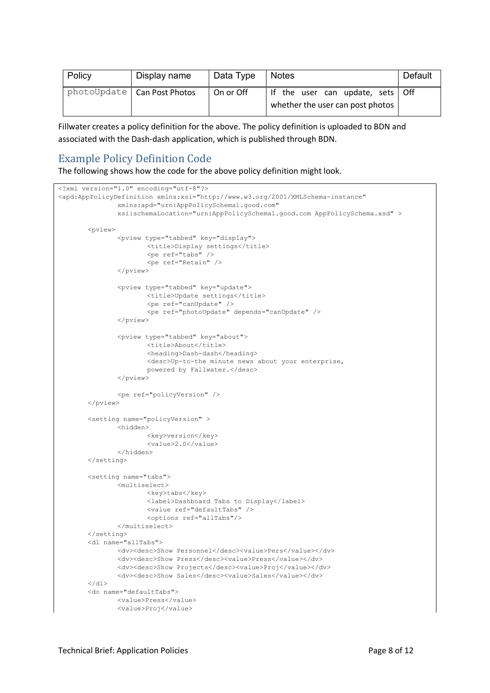| Policy | Display name                  | Data Type | <b>Notes</b>                                                           | Default |
|--------|-------------------------------|-----------|------------------------------------------------------------------------|---------|
|        | photoUpdate   Can Post Photos | On or Off | If the user can update, sets   Off<br>whether the user can post photos |         |

Fillwater creates a policy definition for the above. The policy definition is uploaded to BDN and associated with the Dash-dash application, which is published through BDN.

#### <span id="page-7-0"></span>Example Policy Definition Code

The following shows how the code for the above policy definition might look.

```
<?xml version="1.0" encoding="utf-8"?>
<apd:AppPolicyDefinition xmlns:xsi="http://www.w3.org/2001/XMLSchema-instance" 
               xmlns:apd="urn:AppPolicySchema1.good.com" 
               xsi:schemaLocation="urn:AppPolicySchema1.good.com AppPolicySchema.xsd" >
       <pview>
               <pview type="tabbed" key="display">
                      <title>Display settings</title>
                      <pe ref="tabs" />
                      <pe ref="Retain" />
               </pview>
               <pview type="tabbed" key="update">
                       <title>Update settings</title>
                       <pe ref="canUpdate" />
                       <pe ref="photoUpdate" depends="canUpdate" />
               </pview>
               <pview type="tabbed" key="about">
                       <title>About</title>
                       <heading>Dash-dash</heading>
                      <desc>Up-to-the minute news about your enterprise,
                      powered by Fallwater.</desc>
               </pview>
               <pe ref="policyVersion" />
       </pview>
       <setting name="policyVersion" >
               <hidden>
                      <key>version</key>
                      <value>2.0</value>
               </hidden>
       </setting>
       <setting name="tabs">
               <multiselect>
                      <key>tabs</key>
                       <label>Dashboard Tabs to Display</label>
                      <value ref="defaultTabs" />
                      <options ref="allTabs"/>
               </multiselect>
       </setting>
       <dl name="allTabs">
               <dv><desc>Show Personnel</desc><value>Pers</value></dv>
               <dv><desc>Show Press</desc><value>Press</value></dv>
               <dv><desc>Show Projects</desc><value>Proj</value></dv>
               <dv><desc>Show Sales</desc><value>Sales</value></dv>
       \langle/dl\rangle<do name="defaultTabs">
               <value>Press</value>
               <value>Proj</value>
```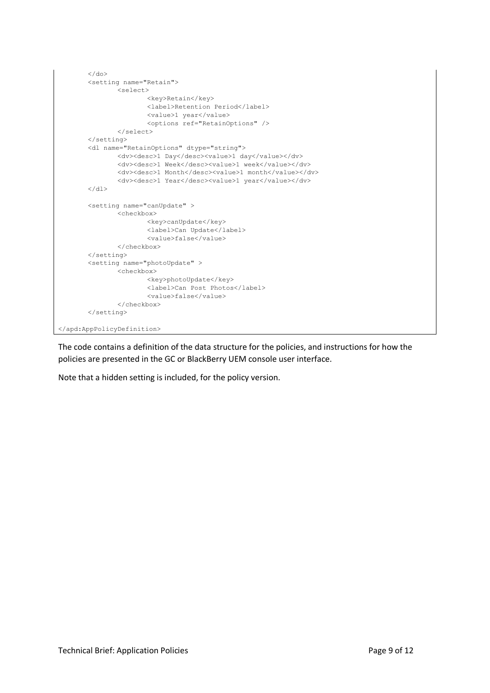```
\langle / do>
       <setting name="Retain">
               <select>
                      <key>Retain</key>
                      <label>Retention Period</label>
                       <value>1 year</value>
                      <options ref="RetainOptions" />
               </select>
       </setting>
       <dl name="RetainOptions" dtype="string">
               <dv><desc>1 Day</desc><value>1 day</value></dv>
               <dv><desc>1 Week</desc><value>1 week</value></dv>
               <dv><desc>1 Month</desc><value>1 month</value></dv>
               <dv><desc>1 Year</desc><value>1 year</value></dv>
       \langle /dl>
       <setting name="canUpdate" >
               <checkbox>
                      <key>canUpdate</key>
                      <label>Can Update</label>
                      <value>false</value>
               </checkbox>
       </setting>
       <setting name="photoUpdate" >
               <checkbox>
                      <key>photoUpdate</key>
                      <label>Can Post Photos</label>
                      <value>false</value>
               </checkbox>
       </setting>
</apd:AppPolicyDefinition>
```
The code contains a definition of the data structure for the policies, and instructions for how the policies are presented in the GC or BlackBerry UEM console user interface.

Note that a hidden setting is included, for the policy version.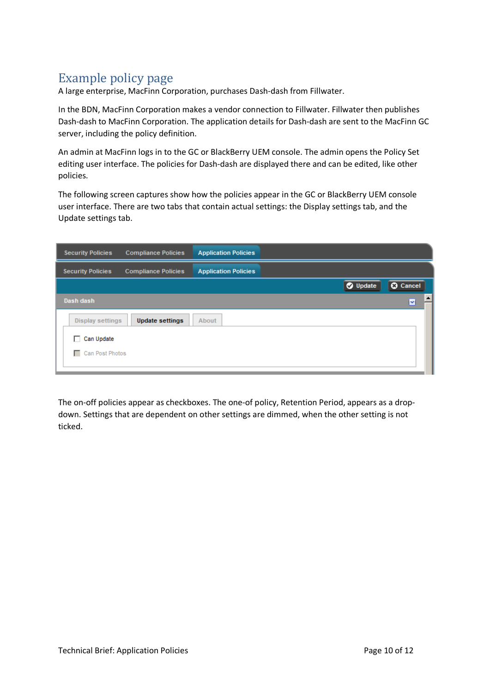# <span id="page-9-0"></span>Example policy page

A large enterprise, MacFinn Corporation, purchases Dash-dash from Fillwater.

In the BDN, MacFinn Corporation makes a vendor connection to Fillwater. Fillwater then publishes Dash-dash to MacFinn Corporation. The application details for Dash-dash are sent to the MacFinn GC server, including the policy definition.

An admin at MacFinn logs in to the GC or BlackBerry UEM console. The admin opens the Policy Set editing user interface. The policies for Dash-dash are displayed there and can be edited, like other policies.

The following screen captures show how the policies appear in the GC or BlackBerry UEM console user interface. There are two tabs that contain actual settings: the Display settings tab, and the Update settings tab.

| <b>Security Policies</b><br><b>Compliance Policies</b> | <b>Application Policies</b>        |
|--------------------------------------------------------|------------------------------------|
| <b>Security Policies</b><br><b>Compliance Policies</b> | <b>Application Policies</b>        |
|                                                        | <b>O</b> Update<br><b>O</b> Cancel |
| Dash dash                                              | M                                  |
| <b>Update settings</b><br><b>Display settings</b>      | About                              |
| Can Update<br>п                                        |                                    |
| Can Post Photos<br>п.                                  |                                    |
|                                                        |                                    |

The on-off policies appear as checkboxes. The one-of policy, Retention Period, appears as a dropdown. Settings that are dependent on other settings are dimmed, when the other setting is not ticked.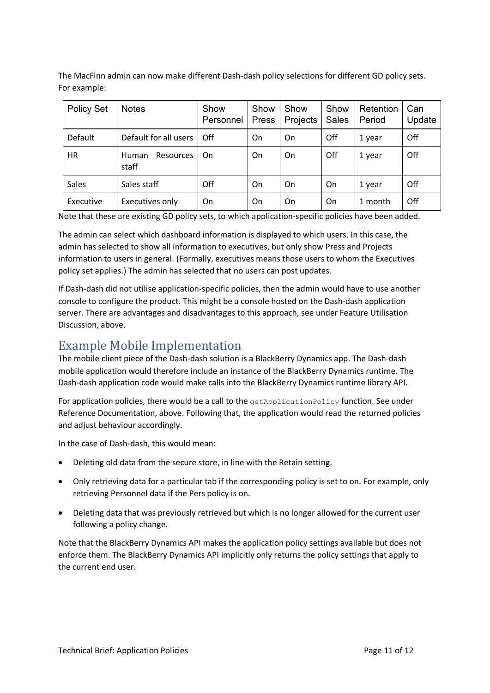The MacFinn admin can now make different Dash-dash policy selections for different GD policy sets. For example:

| Policy Set | <b>Notes</b>                       | Show<br>Personnel | Show<br>Press | Show<br>Projects | Show<br><b>Sales</b> | Retention<br>Period | Can<br>Update |
|------------|------------------------------------|-------------------|---------------|------------------|----------------------|---------------------|---------------|
| Default    | Default for all users              | Off               | On            | On               | Off                  | 1 year              | Off           |
| <b>HR</b>  | <b>Resources</b><br>Human<br>staff | On                | On            | On               | Off                  | 1 year              | Off           |
| Sales      | Sales staff                        | Off               | On            | On               | On                   | 1 year              | Off           |
| Executive  | Executives only                    | On                | On            | On               | On                   | 1 month             | Off           |

Note that these are existing GD policy sets, to which application-specific policies have been added.

The admin can select which dashboard information is displayed to which users. In this case, the admin has selected to show all information to executives, but only show Press and Projects information to users in general. (Formally, executives means those users to whom the Executives policy set applies.) The admin has selected that no users can post updates.

If Dash-dash did not utilise application-specific policies, then the admin would have to use another console to configure the product. This might be a console hosted on the Dash-dash application server. There are advantages and disadvantages to this approach, see under Feature Utilisation Discussion, above.

## <span id="page-10-0"></span>Example Mobile Implementation

The mobile client piece of the Dash-dash solution is a BlackBerry Dynamics app. The Dash-dash mobile application would therefore include an instance of the BlackBerry Dynamics runtime. The Dash-dash application code would make calls into the BlackBerry Dynamics runtime library API.

For application policies, there would be a call to the  $q$ etApplicationPolicy function. See under Reference Documentation, above. Following that, the application would read the returned policies and adjust behaviour accordingly.

In the case of Dash-dash, this would mean:

- Deleting old data from the secure store, in line with the Retain setting.
- Only retrieving data for a particular tab if the corresponding policy is set to on. For example, only retrieving Personnel data if the Pers policy is on.
- Deleting data that was previously retrieved but which is no longer allowed for the current user following a policy change.

Note that the BlackBerry Dynamics API makes the application policy settings available but does not enforce them. The BlackBerry Dynamics API implicitly only returns the policy settings that apply to the current end user.